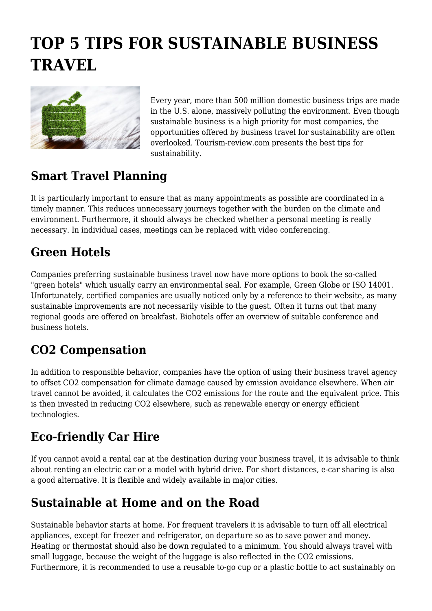# **TOP 5 TIPS FOR SUSTAINABLE BUSINESS TRAVEL**



Every year, more than 500 million domestic business trips are made in the U.S. alone, massively polluting the environment. Even though sustainable business is a high priority for most companies, the opportunities offered by business travel for sustainability are often overlooked. Tourism-review.com presents the best tips for sustainability.

#### **Smart Travel Planning**

It is particularly important to ensure that as many appointments as possible are coordinated in a timely manner. This reduces unnecessary journeys together with the burden on the climate and environment. Furthermore, it should always be checked whether a personal meeting is really necessary. In individual cases, meetings can be replaced with video conferencing.

### **Green Hotels**

Companies preferring sustainable business travel now have more options to book the so-called "green hotels" which usually carry an environmental seal. For example, Green Globe or ISO 14001. Unfortunately, certified companies are usually noticed only by a reference to their website, as many sustainable improvements are not necessarily visible to the guest. Often it turns out that many regional goods are offered on breakfast. Biohotels offer an overview of suitable conference and business hotels.

#### **CO2 Compensation**

In addition to responsible behavior, companies have the option of using their business travel agency to offset CO2 compensation for climate damage caused by emission avoidance elsewhere. When air travel cannot be avoided, it calculates the CO2 emissions for the route and the equivalent price. This is then invested in reducing CO2 elsewhere, such as renewable energy or energy efficient technologies.

## **Eco-friendly Car Hire**

If you cannot avoid a rental car at the destination during your business travel, it is advisable to think about renting an electric car or a model with hybrid drive. For short distances, e-car sharing is also a good alternative. It is flexible and widely available in major cities.

#### **Sustainable at Home and on the Road**

Sustainable behavior starts at home. For frequent travelers it is advisable to turn off all electrical appliances, except for freezer and refrigerator, on departure so as to save power and money. Heating or thermostat should also be down regulated to a minimum. You should always travel with small luggage, because the weight of the luggage is also reflected in the CO2 emissions. Furthermore, it is recommended to use a reusable to-go cup or a plastic bottle to act sustainably on